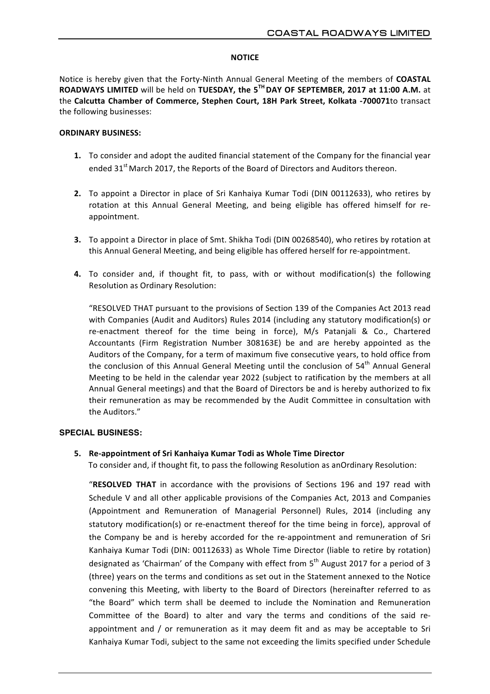# **NOTICE**

Notice is hereby given that the Forty-Ninth Annual General Meeting of the members of COASTAL **ROADWAYS LIMITED** will be held on **TUESDAY, the 5<sup>TH</sup> DAY OF SEPTEMBER, 2017 at 11:00 A.M.** at the Calcutta Chamber of Commerce, Stephen Court, 18H Park Street, Kolkata -700071to transact the following businesses:

# **ORDINARY BUSINESS:**

- **1.** To consider and adopt the audited financial statement of the Company for the financial year ended 31<sup>st</sup> March 2017, the Reports of the Board of Directors and Auditors thereon.
- **2.** To appoint a Director in place of Sri Kanhaiya Kumar Todi (DIN 00112633), who retires by rotation at this Annual General Meeting, and being eligible has offered himself for reappointment.
- **3.** To appoint a Director in place of Smt. Shikha Todi (DIN 00268540), who retires by rotation at this Annual General Meeting, and being eligible has offered herself for re-appointment.
- **4.** To consider and, if thought fit, to pass, with or without modification(s) the following Resolution as Ordinary Resolution:

"RESOLVED THAT pursuant to the provisions of Section 139 of the Companies Act 2013 read with Companies (Audit and Auditors) Rules 2014 (including any statutory modification(s) or re-enactment thereof for the time being in force), M/s Patanjali & Co., Chartered Accountants (Firm Registration Number 308163E) be and are hereby appointed as the Auditors of the Company, for a term of maximum five consecutive years, to hold office from the conclusion of this Annual General Meeting until the conclusion of 54<sup>th</sup> Annual General Meeting to be held in the calendar year 2022 (subject to ratification by the members at all Annual General meetings) and that the Board of Directors be and is hereby authorized to fix their remuneration as may be recommended by the Audit Committee in consultation with the Auditors."

### **SPECIAL BUSINESS:**

# **5. Re-appointment of Sri Kanhaiya Kumar Todi as Whole Time Director**

To consider and, if thought fit, to pass the following Resolution as anOrdinary Resolution:

"RESOLVED THAT in accordance with the provisions of Sections 196 and 197 read with Schedule V and all other applicable provisions of the Companies Act, 2013 and Companies (Appointment and Remuneration of Managerial Personnel) Rules, 2014 (including any statutory modification(s) or re-enactment thereof for the time being in force), approval of the Company be and is hereby accorded for the re-appointment and remuneration of Sri Kanhaiya Kumar Todi (DIN: 00112633) as Whole Time Director (liable to retire by rotation) designated as 'Chairman' of the Company with effect from  $5<sup>th</sup>$  August 2017 for a period of 3 (three) years on the terms and conditions as set out in the Statement annexed to the Notice convening this Meeting, with liberty to the Board of Directors (hereinafter referred to as "the Board" which term shall be deemed to include the Nomination and Remuneration Committee of the Board) to alter and vary the terms and conditions of the said reappointment and  $\ell$  or remuneration as it may deem fit and as may be acceptable to Sri Kanhaiya Kumar Todi, subject to the same not exceeding the limits specified under Schedule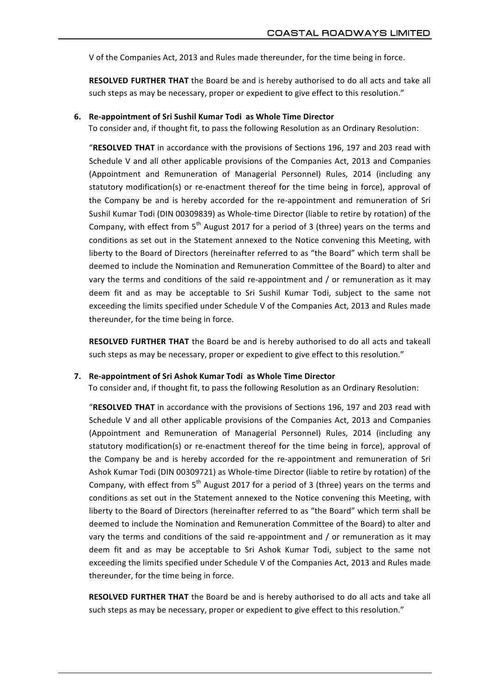V of the Companies Act, 2013 and Rules made thereunder, for the time being in force.

**RESOLVED FURTHER THAT** the Board be and is hereby authorised to do all acts and take all such steps as may be necessary, proper or expedient to give effect to this resolution."

#### **6. Re-appointment of Sri Sushil Kumar Todi as Whole Time Director**

To consider and, if thought fit, to pass the following Resolution as an Ordinary Resolution:

"RESOLVED THAT in accordance with the provisions of Sections 196, 197 and 203 read with Schedule V and all other applicable provisions of the Companies Act, 2013 and Companies (Appointment and Remuneration of Managerial Personnel) Rules, 2014 (including any statutory modification(s) or re-enactment thereof for the time being in force), approval of the Company be and is hereby accorded for the re-appointment and remuneration of Sri Sushil Kumar Todi (DIN 00309839) as Whole-time Director (liable to retire by rotation) of the Company, with effect from  $5<sup>th</sup>$  August 2017 for a period of 3 (three) years on the terms and conditions as set out in the Statement annexed to the Notice convening this Meeting, with liberty to the Board of Directors (hereinafter referred to as "the Board" which term shall be deemed to include the Nomination and Remuneration Committee of the Board) to alter and vary the terms and conditions of the said re-appointment and / or remuneration as it may deem fit and as may be acceptable to Sri Sushil Kumar Todi, subject to the same not exceeding the limits specified under Schedule V of the Companies Act, 2013 and Rules made thereunder, for the time being in force.

**RESOLVED FURTHER THAT** the Board be and is hereby authorised to do all acts and takeall such steps as may be necessary, proper or expedient to give effect to this resolution."

#### **7. Re-appointment of Sri Ashok Kumar Todi as Whole Time Director**

To consider and, if thought fit, to pass the following Resolution as an Ordinary Resolution:

"RESOLVED THAT in accordance with the provisions of Sections 196, 197 and 203 read with Schedule V and all other applicable provisions of the Companies Act, 2013 and Companies (Appointment and Remuneration of Managerial Personnel) Rules, 2014 (including any statutory modification(s) or re-enactment thereof for the time being in force), approval of the Company be and is hereby accorded for the re-appointment and remuneration of Sri Ashok Kumar Todi (DIN 00309721) as Whole-time Director (liable to retire by rotation) of the Company, with effect from  $5<sup>th</sup>$  August 2017 for a period of 3 (three) years on the terms and conditions as set out in the Statement annexed to the Notice convening this Meeting, with liberty to the Board of Directors (hereinafter referred to as "the Board" which term shall be deemed to include the Nomination and Remuneration Committee of the Board) to alter and vary the terms and conditions of the said re-appointment and / or remuneration as it may deem fit and as may be acceptable to Sri Ashok Kumar Todi, subject to the same not exceeding the limits specified under Schedule V of the Companies Act, 2013 and Rules made thereunder, for the time being in force.

**RESOLVED FURTHER THAT** the Board be and is hereby authorised to do all acts and take all such steps as may be necessary, proper or expedient to give effect to this resolution."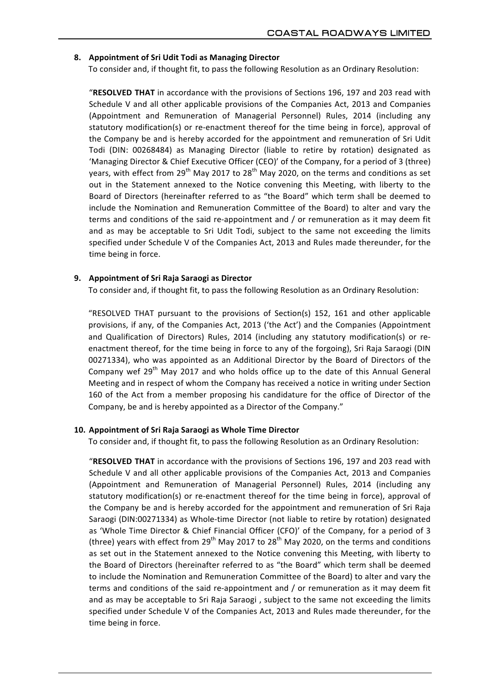# **8. Appointment of Sri Udit Todi as Managing Director**

To consider and, if thought fit, to pass the following Resolution as an Ordinary Resolution:

"RESOLVED THAT in accordance with the provisions of Sections 196, 197 and 203 read with Schedule V and all other applicable provisions of the Companies Act, 2013 and Companies (Appointment and Remuneration of Managerial Personnel) Rules, 2014 (including any statutory modification(s) or re-enactment thereof for the time being in force), approval of the Company be and is hereby accorded for the appointment and remuneration of Sri Udit Todi (DIN: 00268484) as Managing Director (liable to retire by rotation) designated as 'Managing Director & Chief Executive Officer (CEO)' of the Company, for a period of 3 (three) years, with effect from  $29^{th}$  May 2017 to  $28^{th}$  May 2020, on the terms and conditions as set out in the Statement annexed to the Notice convening this Meeting, with liberty to the Board of Directors (hereinafter referred to as "the Board" which term shall be deemed to include the Nomination and Remuneration Committee of the Board) to alter and vary the terms and conditions of the said re-appointment and / or remuneration as it may deem fit and as may be acceptable to Sri Udit Todi, subject to the same not exceeding the limits specified under Schedule V of the Companies Act, 2013 and Rules made thereunder, for the time being in force.

### **9. Appointment of Sri Raja Saraogi as Director**

To consider and, if thought fit, to pass the following Resolution as an Ordinary Resolution:

"RESOLVED THAT pursuant to the provisions of Section(s) 152, 161 and other applicable provisions, if any, of the Companies Act, 2013 ('the Act') and the Companies (Appointment and Qualification of Directors) Rules, 2014 (including any statutory modification(s) or reenactment thereof, for the time being in force to any of the forgoing), Sri Raja Saraogi (DIN 00271334), who was appointed as an Additional Director by the Board of Directors of the Company wef 29<sup>th</sup> May 2017 and who holds office up to the date of this Annual General Meeting and in respect of whom the Company has received a notice in writing under Section 160 of the Act from a member proposing his candidature for the office of Director of the Company, be and is hereby appointed as a Director of the Company."

### 10. **Appointment of Sri Raja Saraogi** as Whole Time Director

To consider and, if thought fit, to pass the following Resolution as an Ordinary Resolution:

"RESOLVED THAT in accordance with the provisions of Sections 196, 197 and 203 read with Schedule V and all other applicable provisions of the Companies Act, 2013 and Companies (Appointment and Remuneration of Managerial Personnel) Rules, 2014 (including any statutory modification(s) or re-enactment thereof for the time being in force), approval of the Company be and is hereby accorded for the appointment and remuneration of Sri Raja Saraogi (DIN:00271334) as Whole-time Director (not liable to retire by rotation) designated as 'Whole Time Director & Chief Financial Officer (CFO)' of the Company, for a period of 3 (three) years with effect from 29<sup>th</sup> May 2017 to 28<sup>th</sup> May 2020, on the terms and conditions as set out in the Statement annexed to the Notice convening this Meeting, with liberty to the Board of Directors (hereinafter referred to as "the Board" which term shall be deemed to include the Nomination and Remuneration Committee of the Board) to alter and vary the terms and conditions of the said re-appointment and / or remuneration as it may deem fit and as may be acceptable to Sri Raja Saraogi, subject to the same not exceeding the limits specified under Schedule V of the Companies Act, 2013 and Rules made thereunder, for the time being in force.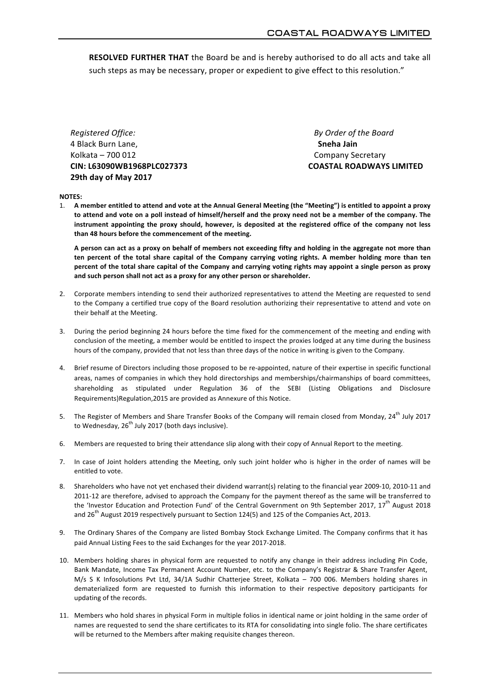**RESOLVED FURTHER THAT** the Board be and is hereby authorised to do all acts and take all such steps as may be necessary, proper or expedient to give effect to this resolution."

*Registered Office: By Order of the Board* 4 Black Burn Lane, **and the actual of the actual of the actual of the actual of the actual of the actual of the actual of the actual of the actual of the actual of the actual of the actual of the actual of the actual of th** Kolkata – 700 012 Company Secretary **CIN: L63090WB1968PLC027373 COASTAL ROADWAYS LIMITED 29th day of May 2017**

#### **NOTES:**

1. A member entitled to attend and vote at the Annual General Meeting (the "Meeting") is entitled to appoint a proxy to attend and vote on a poll instead of himself/herself and the proxy need not be a member of the company. The instrument appointing the proxy should, however, is deposited at the registered office of the company not less than 48 hours before the commencement of the meeting.

A person can act as a proxy on behalf of members not exceeding fifty and holding in the aggregate not more than ten percent of the total share capital of the Company carrying voting rights. A member holding more than ten percent of the total share capital of the Company and carrying voting rights may appoint a single person as proxy and such person shall not act as a proxy for any other person or shareholder.

- 2. Corporate members intending to send their authorized representatives to attend the Meeting are requested to send to the Company a certified true copy of the Board resolution authorizing their representative to attend and vote on their behalf at the Meeting.
- 3. During the period beginning 24 hours before the time fixed for the commencement of the meeting and ending with conclusion of the meeting, a member would be entitled to inspect the proxies lodged at any time during the business hours of the company, provided that not less than three days of the notice in writing is given to the Company.
- 4. Brief resume of Directors including those proposed to be re-appointed, nature of their expertise in specific functional areas, names of companies in which they hold directorships and memberships/chairmanships of board committees, shareholding as stipulated under Regulation 36 of the SEBI (Listing Obligations and Disclosure Requirements)Regulation, 2015 are provided as Annexure of this Notice.
- 5. The Register of Members and Share Transfer Books of the Company will remain closed from Monday,  $24^{th}$  July 2017 to Wednesday,  $26^{th}$  July 2017 (both days inclusive).
- 6. Members are requested to bring their attendance slip along with their copy of Annual Report to the meeting.
- 7. In case of Joint holders attending the Meeting, only such joint holder who is higher in the order of names will be entitled to vote.
- 8. Shareholders who have not yet enchased their dividend warrant(s) relating to the financial year 2009-10, 2010-11 and 2011-12 are therefore, advised to approach the Company for the payment thereof as the same will be transferred to the 'Investor Education and Protection Fund' of the Central Government on 9th September 2017, 17<sup>th</sup> August 2018 and  $26<sup>th</sup>$  August 2019 respectively pursuant to Section 124(5) and 125 of the Companies Act, 2013.
- 9. The Ordinary Shares of the Company are listed Bombay Stock Exchange Limited. The Company confirms that it has paid Annual Listing Fees to the said Exchanges for the year 2017-2018.
- 10. Members holding shares in physical form are requested to notify any change in their address including Pin Code, Bank Mandate, Income Tax Permanent Account Number, etc. to the Company's Registrar & Share Transfer Agent,  $M/s$  S K Infosolutions Pvt Ltd, 34/1A Sudhir Chatterjee Street, Kolkata - 700 006. Members holding shares in dematerialized form are requested to furnish this information to their respective depository participants for updating of the records.
- 11. Members who hold shares in physical Form in multiple folios in identical name or joint holding in the same order of names are requested to send the share certificates to its RTA for consolidating into single folio. The share certificates will be returned to the Members after making requisite changes thereon.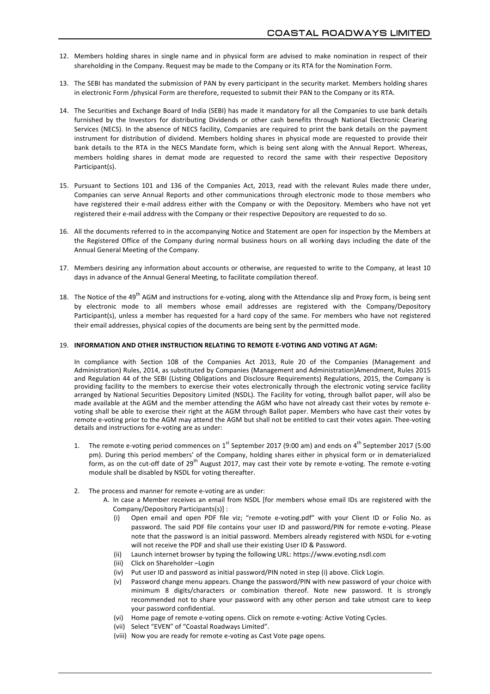- 12. Members holding shares in single name and in physical form are advised to make nomination in respect of their shareholding in the Company. Request may be made to the Company or its RTA for the Nomination Form.
- 13. The SEBI has mandated the submission of PAN by every participant in the security market. Members holding shares in electronic Form /physical Form are therefore, requested to submit their PAN to the Company or its RTA.
- 14. The Securities and Exchange Board of India (SEBI) has made it mandatory for all the Companies to use bank details furnished by the Investors for distributing Dividends or other cash benefits through National Electronic Clearing Services (NECS). In the absence of NECS facility, Companies are required to print the bank details on the payment instrument for distribution of dividend. Members holding shares in physical mode are requested to provide their bank details to the RTA in the NECS Mandate form, which is being sent along with the Annual Report. Whereas, members holding shares in demat mode are requested to record the same with their respective Depository Participant(s).
- 15. Pursuant to Sections 101 and 136 of the Companies Act, 2013, read with the relevant Rules made there under, Companies can serve Annual Reports and other communications through electronic mode to those members who have registered their e-mail address either with the Company or with the Depository. Members who have not yet registered their e-mail address with the Company or their respective Depository are requested to do so.
- 16. All the documents referred to in the accompanying Notice and Statement are open for inspection by the Members at the Registered Office of the Company during normal business hours on all working days including the date of the Annual General Meeting of the Company.
- 17. Members desiring any information about accounts or otherwise, are requested to write to the Company, at least 10 days in advance of the Annual General Meeting, to facilitate compilation thereof.
- 18. The Notice of the 49<sup>th</sup> AGM and instructions for e-voting, along with the Attendance slip and Proxy form, is being sent by electronic mode to all members whose email addresses are registered with the Company/Depository Participant(s), unless a member has requested for a hard copy of the same. For members who have not registered their email addresses, physical copies of the documents are being sent by the permitted mode.

#### 19. **INFORMATION AND OTHER INSTRUCTION RELATING TO REMOTE E-VOTING AND VOTING AT AGM:**

In compliance with Section 108 of the Companies Act 2013, Rule 20 of the Companies (Management and Administration) Rules, 2014, as substituted by Companies (Management and Administration)Amendment, Rules 2015 and Regulation 44 of the SEBI (Listing Obligations and Disclosure Requirements) Regulations, 2015, the Company is providing facility to the members to exercise their votes electronically through the electronic voting service facility arranged by National Securities Depository Limited (NSDL). The Facility for voting, through ballot paper, will also be made available at the AGM and the member attending the AGM who have not already cast their votes by remote evoting shall be able to exercise their right at the AGM through Ballot paper. Members who have cast their votes by remote e-voting prior to the AGM may attend the AGM but shall not be entitled to cast their votes again. Thee-voting details and instructions for e-voting are as under:

- 1. The remote e-voting period commences on  $1^{st}$  September 2017 (9:00 am) and ends on  $4^{th}$  September 2017 (5:00 pm). During this period members' of the Company, holding shares either in physical form or in dematerialized form, as on the cut-off date of 29<sup>th</sup> August 2017, may cast their vote by remote e-voting. The remote e-voting module shall be disabled by NSDL for voting thereafter.
- 2. The process and manner for remote e-voting are as under:
	- A. In case a Member receives an email from NSDL [for members whose email IDs are registered with the Company/Depository Participants(s)] :
		- (i) Open email and open PDF file viz; "remote e-voting.pdf" with your Client ID or Folio No. as password. The said PDF file contains your user ID and password/PIN for remote e-voting. Please note that the password is an initial password. Members already registered with NSDL for e-voting will not receive the PDF and shall use their existing User ID & Password.
		- (ii) Launch internet browser by typing the following URL: https://www.evoting.nsdl.com
		- (iii) Click on Shareholder –Login
		- (iv) Put user ID and password as initial password/PIN noted in step (i) above. Click Login.
		- (v) Password change menu appears. Change the password/PIN with new password of your choice with minimum 8 digits/characters or combination thereof. Note new password. It is strongly recommended not to share your password with any other person and take utmost care to keep your password confidential.
		- (vi) Home page of remote e-voting opens. Click on remote e-voting: Active Voting Cycles.
		- (vii) Select "EVEN" of "Coastal Roadways Limited".
		- (viii) Now you are ready for remote e-voting as Cast Vote page opens.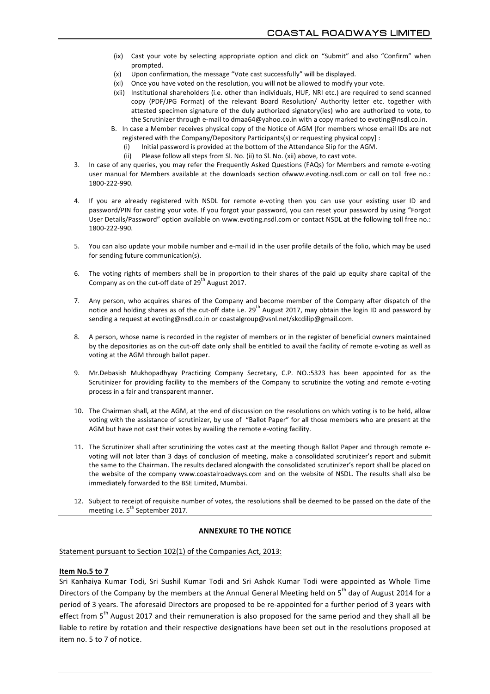- (ix) Cast your vote by selecting appropriate option and click on "Submit" and also "Confirm" when prompted.
- $(x)$  Upon confirmation, the message "Vote cast successfully" will be displayed.
- (xi) Once you have voted on the resolution, you will not be allowed to modify your vote.
- (xii) Institutional shareholders (i.e. other than individuals, HUF, NRI etc.) are required to send scanned copy (PDF/JPG Format) of the relevant Board Resolution/ Authority letter etc. together with attested specimen signature of the duly authorized signatory(ies) who are authorized to vote, to the Scrutinizer through e-mail to dmaa64@yahoo.co.in with a copy marked to evoting@nsdl.co.in.
- B. In case a Member receives physical copy of the Notice of AGM [for members whose email IDs are not registered with the Company/Depository Participants(s) or requesting physical copy] :
	- Initial password is provided at the bottom of the Attendance Slip for the AGM.
	- (ii) Please follow all steps from Sl. No. (ii) to Sl. No. (xii) above, to cast vote.
- 3. In case of any queries, you may refer the Frequently Asked Questions (FAQs) for Members and remote e-voting user manual for Members available at the downloads section ofwww.evoting.nsdl.com or call on toll free no.: 1800-222-990.
- 4. If you are already registered with NSDL for remote e-voting then you can use your existing user ID and password/PIN for casting your vote. If you forgot your password, you can reset your password by using "Forgot User Details/Password" option available on www.evoting.nsdl.com or contact NSDL at the following toll free no.: 1800-222-990.
- 5. You can also update your mobile number and e-mail id in the user profile details of the folio, which may be used for sending future communication(s).
- 6. The voting rights of members shall be in proportion to their shares of the paid up equity share capital of the Company as on the cut-off date of  $29<sup>th</sup>$  August 2017.
- 7. Any person, who acquires shares of the Company and become member of the Company after dispatch of the notice and holding shares as of the cut-off date i.e.  $29^{th}$  August 2017, may obtain the login ID and password by sending a request at evoting@nsdl.co.in or coastalgroup@vsnl.net/skcdilip@gmail.com.
- 8. A person, whose name is recorded in the register of members or in the register of beneficial owners maintained by the depositories as on the cut-off date only shall be entitled to avail the facility of remote e-voting as well as voting at the AGM through ballot paper.
- 9. Mr.Debasish Mukhopadhyay Practicing Company Secretary, C.P. NO.:5323 has been appointed for as the Scrutinizer for providing facility to the members of the Company to scrutinize the voting and remote e-voting process in a fair and transparent manner.
- 10. The Chairman shall, at the AGM, at the end of discussion on the resolutions on which voting is to be held, allow voting with the assistance of scrutinizer, by use of "Ballot Paper" for all those members who are present at the AGM but have not cast their votes by availing the remote e-voting facility.
- 11. The Scrutinizer shall after scrutinizing the votes cast at the meeting though Ballot Paper and through remote evoting will not later than 3 days of conclusion of meeting, make a consolidated scrutinizer's report and submit the same to the Chairman. The results declared alongwith the consolidated scrutinizer's report shall be placed on the website of the company www.coastalroadways.com and on the website of NSDL. The results shall also be immediately forwarded to the BSE Limited, Mumbai.
- 12. Subject to receipt of requisite number of votes, the resolutions shall be deemed to be passed on the date of the meeting i.e. 5<sup>th</sup> September 2017.

### **ANNEXURE TO THE NOTICE**

Statement pursuant to Section 102(1) of the Companies Act, 2013:

#### **Item No.5 to 7**

Sri Kanhaiya Kumar Todi, Sri Sushil Kumar Todi and Sri Ashok Kumar Todi were appointed as Whole Time Directors of the Company by the members at the Annual General Meeting held on 5<sup>th</sup> day of August 2014 for a period of 3 years. The aforesaid Directors are proposed to be re-appointed for a further period of 3 years with effect from 5<sup>th</sup> August 2017 and their remuneration is also proposed for the same period and they shall all be liable to retire by rotation and their respective designations have been set out in the resolutions proposed at item no. 5 to 7 of notice.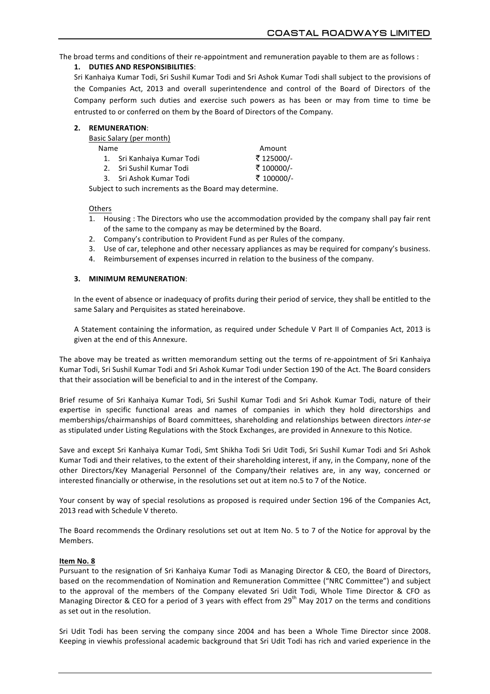The broad terms and conditions of their re-appointment and remuneration payable to them are as follows :

# **1. DUTIES AND RESPONSIBILITIES**:

Sri Kanhaiya Kumar Todi, Sri Sushil Kumar Todi and Sri Ashok Kumar Todi shall subject to the provisions of the Companies Act, 2013 and overall superintendence and control of the Board of Directors of the Company perform such duties and exercise such powers as has been or may from time to time be entrusted to or conferred on them by the Board of Directors of the Company.

| 2. | <b>REMUNERATION:</b> |
|----|----------------------|
|----|----------------------|

Basic Salary (per month)

| <b>Name</b> |                            | Amount     |
|-------------|----------------------------|------------|
|             | 1. Sri Kanhaiya Kumar Todi | ₹ 125000/- |
|             | 2. Sri Sushil Kumar Todi   | ₹ 100000/- |
|             | 3. Sri Ashok Kumar Todi    | ₹ 100000/- |

Subject to such increments as the Board may determine.

### Others

- 1. Housing : The Directors who use the accommodation provided by the company shall pay fair rent of the same to the company as may be determined by the Board.
- 2. Company's contribution to Provident Fund as per Rules of the company.
- 3. Use of car, telephone and other necessary appliances as may be required for company's business.
- 4. Reimbursement of expenses incurred in relation to the business of the company.

# **3. MINIMUM REMUNERATION**:

In the event of absence or inadequacy of profits during their period of service, they shall be entitled to the same Salary and Perquisites as stated hereinabove.

A Statement containing the information, as required under Schedule V Part II of Companies Act, 2013 is given at the end of this Annexure.

The above may be treated as written memorandum setting out the terms of re-appointment of Sri Kanhaiya Kumar Todi, Sri Sushil Kumar Todi and Sri Ashok Kumar Todi under Section 190 of the Act. The Board considers that their association will be beneficial to and in the interest of the Company.

Brief resume of Sri Kanhaiya Kumar Todi, Sri Sushil Kumar Todi and Sri Ashok Kumar Todi, nature of their expertise in specific functional areas and names of companies in which they hold directorships and memberships/chairmanships of Board committees, shareholding and relationships between directors *inter-se* as stipulated under Listing Regulations with the Stock Exchanges, are provided in Annexure to this Notice.

Save and except Sri Kanhaiya Kumar Todi, Smt Shikha Todi Sri Udit Todi, Sri Sushil Kumar Todi and Sri Ashok Kumar Todi and their relatives, to the extent of their shareholding interest, if any, in the Company, none of the other Directors/Key Managerial Personnel of the Company/their relatives are, in any way, concerned or interested financially or otherwise, in the resolutions set out at item no.5 to 7 of the Notice.

Your consent by way of special resolutions as proposed is required under Section 196 of the Companies Act, 2013 read with Schedule V thereto.

The Board recommends the Ordinary resolutions set out at Item No. 5 to 7 of the Notice for approval by the Members.

# **Item No. 8**

Pursuant to the resignation of Sri Kanhaiya Kumar Todi as Managing Director & CEO, the Board of Directors, based on the recommendation of Nomination and Remuneration Committee ("NRC Committee") and subject to the approval of the members of the Company elevated Sri Udit Todi, Whole Time Director & CFO as Managing Director & CEO for a period of 3 years with effect from  $29<sup>th</sup>$  May 2017 on the terms and conditions as set out in the resolution.

Sri Udit Todi has been serving the company since 2004 and has been a Whole Time Director since 2008. Keeping in viewhis professional academic background that Sri Udit Todi has rich and varied experience in the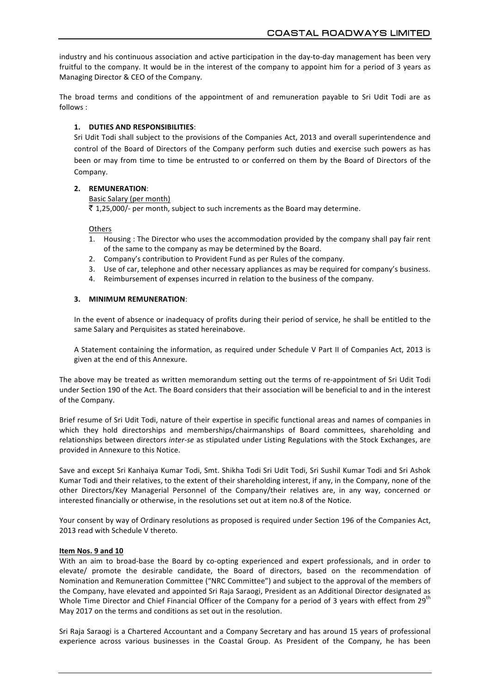industry and his continuous association and active participation in the day-to-day management has been very fruitful to the company. It would be in the interest of the company to appoint him for a period of 3 years as Managing Director & CEO of the Company.

The broad terms and conditions of the appointment of and remuneration payable to Sri Udit Todi are as follows :

# **1. DUTIES AND RESPONSIBILITIES**:

Sri Udit Todi shall subject to the provisions of the Companies Act, 2013 and overall superintendence and control of the Board of Directors of the Company perform such duties and exercise such powers as has been or may from time to time be entrusted to or conferred on them by the Board of Directors of the Company.

# **2. REMUNERATION**:

Basic Salary (per month)

 $\bar{z}$  1,25,000/- per month, subject to such increments as the Board may determine.

#### **Others**

- 1. Housing : The Director who uses the accommodation provided by the company shall pay fair rent of the same to the company as may be determined by the Board.
- 2. Company's contribution to Provident Fund as per Rules of the company.
- 3. Use of car, telephone and other necessary appliances as may be required for company's business.
- 4. Reimbursement of expenses incurred in relation to the business of the company.

### **3. MINIMUM REMUNERATION**:

In the event of absence or inadequacy of profits during their period of service, he shall be entitled to the same Salary and Perquisites as stated hereinabove.

A Statement containing the information, as required under Schedule V Part II of Companies Act, 2013 is given at the end of this Annexure.

The above may be treated as written memorandum setting out the terms of re-appointment of Sri Udit Todi under Section 190 of the Act. The Board considers that their association will be beneficial to and in the interest of the Company.

Brief resume of Sri Udit Todi, nature of their expertise in specific functional areas and names of companies in which they hold directorships and memberships/chairmanships of Board committees, shareholding and relationships between directors *inter-se* as stipulated under Listing Regulations with the Stock Exchanges, are provided in Annexure to this Notice.

Save and except Sri Kanhaiya Kumar Todi, Smt. Shikha Todi Sri Udit Todi, Sri Sushil Kumar Todi and Sri Ashok Kumar Todi and their relatives, to the extent of their shareholding interest, if any, in the Company, none of the other Directors/Key Managerial Personnel of the Company/their relatives are, in any way, concerned or interested financially or otherwise, in the resolutions set out at item no.8 of the Notice.

Your consent by way of Ordinary resolutions as proposed is required under Section 196 of the Companies Act, 2013 read with Schedule V thereto.

# **Item Nos. 9 and 10**

With an aim to broad-base the Board by co-opting experienced and expert professionals, and in order to elevate/ promote the desirable candidate, the Board of directors, based on the recommendation of Nomination and Remuneration Committee ("NRC Committee") and subject to the approval of the members of the Company, have elevated and appointed Sri Raja Saraogi, President as an Additional Director designated as Whole Time Director and Chief Financial Officer of the Company for a period of 3 years with effect from 29<sup>th</sup> May 2017 on the terms and conditions as set out in the resolution.

Sri Raja Saraogi is a Chartered Accountant and a Company Secretary and has around 15 years of professional experience across various businesses in the Coastal Group. As President of the Company, he has been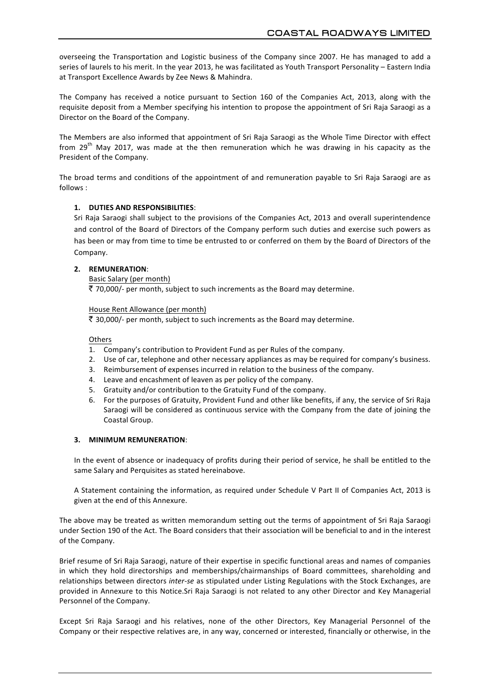overseeing the Transportation and Logistic business of the Company since 2007. He has managed to add a series of laurels to his merit. In the year 2013, he was facilitated as Youth Transport Personality – Eastern India at Transport Excellence Awards by Zee News & Mahindra.

The Company has received a notice pursuant to Section 160 of the Companies Act, 2013, along with the requisite deposit from a Member specifying his intention to propose the appointment of Sri Raja Saraogi as a Director on the Board of the Company.

The Members are also informed that appointment of Sri Raja Saraogi as the Whole Time Director with effect from  $29<sup>th</sup>$  May 2017, was made at the then remuneration which he was drawing in his capacity as the President of the Company.

The broad terms and conditions of the appointment of and remuneration payable to Sri Raja Saraogi are as follows :

# **1. DUTIES AND RESPONSIBILITIES**:

Sri Raja Saraogi shall subject to the provisions of the Companies Act, 2013 and overall superintendence and control of the Board of Directors of the Company perform such duties and exercise such powers as has been or may from time to time be entrusted to or conferred on them by the Board of Directors of the Company.

### **2. REMUNERATION**:

Basic Salary (per month)

 $\bar{\tau}$  70,000/- per month, subject to such increments as the Board may determine.

#### House Rent Allowance (per month)

 $\bar{\tau}$  30,000/- per month, subject to such increments as the Board may determine.

#### **Others**

- 1. Company's contribution to Provident Fund as per Rules of the company.
- 2. Use of car, telephone and other necessary appliances as may be required for company's business.
- 3. Reimbursement of expenses incurred in relation to the business of the company.
- 4. Leave and encashment of leaven as per policy of the company.
- 5. Gratuity and/or contribution to the Gratuity Fund of the company.
- 6. For the purposes of Gratuity, Provident Fund and other like benefits, if any, the service of Sri Raja Saraogi will be considered as continuous service with the Company from the date of joining the Coastal Group.

### **3. MINIMUM REMUNERATION**:

In the event of absence or inadequacy of profits during their period of service, he shall be entitled to the same Salary and Perquisites as stated hereinabove.

A Statement containing the information, as required under Schedule V Part II of Companies Act, 2013 is given at the end of this Annexure.

The above may be treated as written memorandum setting out the terms of appointment of Sri Raja Saraogi under Section 190 of the Act. The Board considers that their association will be beneficial to and in the interest of the Company.

Brief resume of Sri Raja Saraogi, nature of their expertise in specific functional areas and names of companies in which they hold directorships and memberships/chairmanships of Board committees, shareholding and relationships between directors *inter-se* as stipulated under Listing Regulations with the Stock Exchanges, are provided in Annexure to this Notice. Sri Raja Saraogi is not related to any other Director and Key Managerial Personnel of the Company.

Except Sri Raja Saraogi and his relatives, none of the other Directors, Key Managerial Personnel of the Company or their respective relatives are, in any way, concerned or interested, financially or otherwise, in the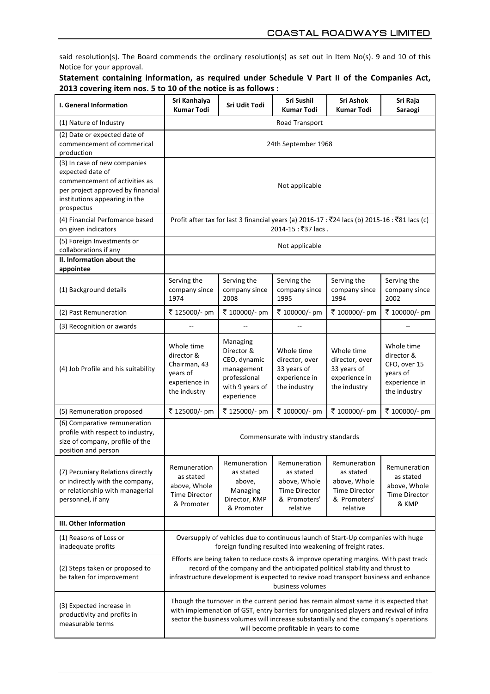said resolution(s). The Board commends the ordinary resolution(s) as set out in Item No(s). 9 and 10 of this Notice for your approval.

# Statement containing information, as required under Schedule V Part II of the Companies Act, **2013** covering item nos. 5 to 10 of the notice is as follows :

| <b>I. General Information</b>                                                                                                                                         | Sri Kanhaiya<br><b>Kumar Todi</b>                                                                                                                                                                                                                                                                                 | Sri Udit Todi                                                                                         | Sri Sushil<br><b>Kumar Todi</b>                                                               | Sri Ashok<br><b>Kumar Todi</b>                                                                | Sri Raja<br>Saraogi                                                                   |  |
|-----------------------------------------------------------------------------------------------------------------------------------------------------------------------|-------------------------------------------------------------------------------------------------------------------------------------------------------------------------------------------------------------------------------------------------------------------------------------------------------------------|-------------------------------------------------------------------------------------------------------|-----------------------------------------------------------------------------------------------|-----------------------------------------------------------------------------------------------|---------------------------------------------------------------------------------------|--|
| (1) Nature of Industry                                                                                                                                                |                                                                                                                                                                                                                                                                                                                   |                                                                                                       | Road Transport                                                                                |                                                                                               |                                                                                       |  |
| (2) Date or expected date of<br>commencement of commerical<br>production                                                                                              | 24th September 1968                                                                                                                                                                                                                                                                                               |                                                                                                       |                                                                                               |                                                                                               |                                                                                       |  |
| (3) In case of new companies<br>expected date of<br>commencement of activities as<br>per project approved by financial<br>institutions appearing in the<br>prospectus | Not applicable                                                                                                                                                                                                                                                                                                    |                                                                                                       |                                                                                               |                                                                                               |                                                                                       |  |
| (4) Financial Perfomance based<br>on given indicators                                                                                                                 | Profit after tax for last 3 financial years (a) 2016-17 : ₹24 lacs (b) 2015-16 : ₹81 lacs (c)<br>2014-15 : ₹37 lacs.                                                                                                                                                                                              |                                                                                                       |                                                                                               |                                                                                               |                                                                                       |  |
| (5) Foreign Investments or<br>collaborations if any                                                                                                                   | Not applicable                                                                                                                                                                                                                                                                                                    |                                                                                                       |                                                                                               |                                                                                               |                                                                                       |  |
| II. Information about the<br>appointee                                                                                                                                |                                                                                                                                                                                                                                                                                                                   |                                                                                                       |                                                                                               |                                                                                               |                                                                                       |  |
| (1) Background details                                                                                                                                                | Serving the<br>company since<br>1974                                                                                                                                                                                                                                                                              | Serving the<br>company since<br>2008                                                                  | Serving the<br>company since<br>1995                                                          | Serving the<br>company since<br>1994                                                          | Serving the<br>company since<br>2002                                                  |  |
| (2) Past Remuneration                                                                                                                                                 | ₹ 125000/- pm                                                                                                                                                                                                                                                                                                     | ₹ 100000/- pm                                                                                         | ₹ 100000/- pm                                                                                 | ₹ 100000/- pm                                                                                 | ₹ 100000/- pm                                                                         |  |
| (3) Recognition or awards                                                                                                                                             |                                                                                                                                                                                                                                                                                                                   | $-$                                                                                                   |                                                                                               |                                                                                               |                                                                                       |  |
| (4) Job Profile and his suitability                                                                                                                                   | Whole time<br>director &<br>Chairman, 43<br>years of<br>experience in<br>the industry                                                                                                                                                                                                                             | Managing<br>Director &<br>CEO, dynamic<br>management<br>professional<br>with 9 years of<br>experience | Whole time<br>director, over<br>33 years of<br>experience in<br>the industry                  | Whole time<br>director, over<br>33 years of<br>experience in<br>the industry                  | Whole time<br>director &<br>CFO, over 15<br>years of<br>experience in<br>the industry |  |
| (5) Remuneration proposed                                                                                                                                             | ₹ 125000/- pm                                                                                                                                                                                                                                                                                                     | ₹ 125000/- pm                                                                                         | ₹ 100000/- pm                                                                                 | ₹ 100000/- pm                                                                                 | ₹ 100000/- pm                                                                         |  |
| (6) Comparative remuneration<br>profile with respect to industry,<br>size of company, profile of the<br>position and person                                           | Commensurate with industry standards                                                                                                                                                                                                                                                                              |                                                                                                       |                                                                                               |                                                                                               |                                                                                       |  |
| (7) Pecuniary Relations directly<br>or indirectly with the company,<br>or relationship with managerial<br>personnel, if any                                           | Remuneration<br>as stated<br>above, Whole<br><b>Time Director</b><br>& Promoter                                                                                                                                                                                                                                   | Remuneration<br>as stated<br>above,<br>Managing<br>Director, KMP<br>& Promoter                        | Remuneration<br>as stated<br>above, Whole<br><b>Time Director</b><br>& Promoters'<br>relative | Remuneration<br>as stated<br>above, Whole<br><b>Time Director</b><br>& Promoters'<br>relative | Remuneration<br>as stated<br>above, Whole<br><b>Time Director</b><br>& KMP            |  |
| III. Other Information                                                                                                                                                |                                                                                                                                                                                                                                                                                                                   |                                                                                                       |                                                                                               |                                                                                               |                                                                                       |  |
| (1) Reasons of Loss or<br>inadequate profits                                                                                                                          | Oversupply of vehicles due to continuous launch of Start-Up companies with huge<br>foreign funding resulted into weakening of freight rates.                                                                                                                                                                      |                                                                                                       |                                                                                               |                                                                                               |                                                                                       |  |
| (2) Steps taken or proposed to<br>be taken for improvement                                                                                                            | Efforts are being taken to reduce costs & improve operating margins. With past track<br>record of the company and the anticipated political stability and thrust to<br>infrastructure development is expected to revive road transport business and enhance<br>business volumes                                   |                                                                                                       |                                                                                               |                                                                                               |                                                                                       |  |
| (3) Expected increase in<br>productivity and profits in<br>measurable terms                                                                                           | Though the turnover in the current period has remain almost same it is expected that<br>with implemenation of GST, entry barriers for unorganised players and revival of infra<br>sector the business volumes will increase substantially and the company's operations<br>will become profitable in years to come |                                                                                                       |                                                                                               |                                                                                               |                                                                                       |  |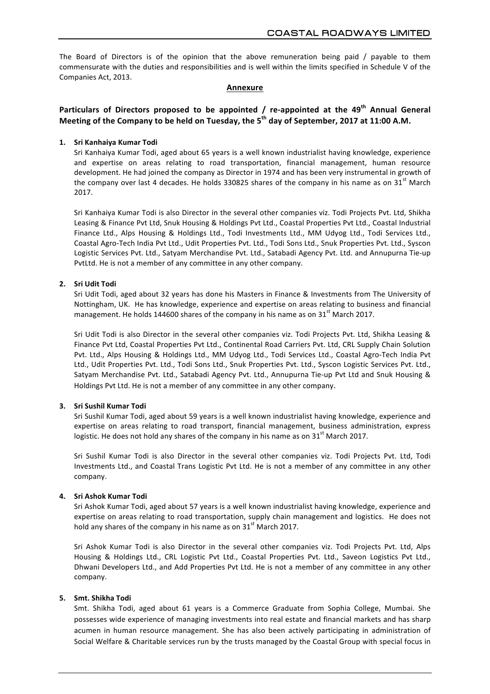The Board of Directors is of the opinion that the above remuneration being paid / payable to them commensurate with the duties and responsibilities and is well within the limits specified in Schedule V of the Companies Act, 2013.

#### **Annexure**

# **Particulars of Directors proposed to be appointed / re-appointed at the 49<sup>th</sup> Annual General Meeting of the Company to be held on Tuesday, the 5<sup>th</sup> day of September, 2017 at 11:00 A.M.**

#### **1. Sri Kanhaiya Kumar Todi**

Sri Kanhaiya Kumar Todi, aged about 65 years is a well known industrialist having knowledge, experience and expertise on areas relating to road transportation, financial management, human resource development. He had joined the company as Director in 1974 and has been very instrumental in growth of the company over last 4 decades. He holds 330825 shares of the company in his name as on 31 $^{\rm st}$  March 2017.

Sri Kanhaiya Kumar Todi is also Director in the several other companies viz. Todi Projects Pvt. Ltd, Shikha Leasing & Finance Pvt Ltd, Snuk Housing & Holdings Pvt Ltd., Coastal Properties Pvt Ltd., Coastal Industrial Finance Ltd., Alps Housing & Holdings Ltd., Todi Investments Ltd., MM Udyog Ltd., Todi Services Ltd., Coastal Agro-Tech India Pvt Ltd., Udit Properties Pvt. Ltd., Todi Sons Ltd., Snuk Properties Pvt. Ltd., Syscon Logistic Services Pvt. Ltd., Satyam Merchandise Pvt. Ltd., Satabadi Agency Pvt. Ltd. and Annupurna Tie-up PvtLtd. He is not a member of any committee in any other company.

### **2. Sri Udit Todi**

Sri Udit Todi, aged about 32 years has done his Masters in Finance & Investments from The University of Nottingham, UK. He has knowledge, experience and expertise on areas relating to business and financial management. He holds 144600 shares of the company in his name as on 31<sup>st</sup> March 2017.

Sri Udit Todi is also Director in the several other companies viz. Todi Projects Pvt. Ltd, Shikha Leasing & Finance Pvt Ltd, Coastal Properties Pvt Ltd., Continental Road Carriers Pvt. Ltd, CRL Supply Chain Solution Pvt. Ltd., Alps Housing & Holdings Ltd., MM Udyog Ltd., Todi Services Ltd., Coastal Agro-Tech India Pvt Ltd., Udit Properties Pvt. Ltd., Todi Sons Ltd., Snuk Properties Pvt. Ltd., Syscon Logistic Services Pvt. Ltd., Satyam Merchandise Pvt. Ltd., Satabadi Agency Pvt. Ltd., Annupurna Tie-up Pvt Ltd and Snuk Housing & Holdings Pvt Ltd. He is not a member of any committee in any other company.

### **3. Sri Sushil Kumar Todi**

Sri Sushil Kumar Todi, aged about 59 years is a well known industrialist having knowledge, experience and expertise on areas relating to road transport, financial management, business administration, express logistic. He does not hold any shares of the company in his name as on  $31<sup>st</sup>$  March 2017.

Sri Sushil Kumar Todi is also Director in the several other companies viz. Todi Projects Pvt. Ltd, Todi Investments Ltd., and Coastal Trans Logistic Pvt Ltd. He is not a member of any committee in any other company.

#### **4. Sri Ashok Kumar Todi**

Sri Ashok Kumar Todi, aged about 57 years is a well known industrialist having knowledge, experience and expertise on areas relating to road transportation, supply chain management and logistics. He does not hold any shares of the company in his name as on  $31<sup>st</sup>$  March 2017.

Sri Ashok Kumar Todi is also Director in the several other companies viz. Todi Projects Pvt. Ltd, Alps Housing & Holdings Ltd., CRL Logistic Pvt Ltd., Coastal Properties Pvt. Ltd., Saveon Logistics Pvt Ltd., Dhwani Developers Ltd., and Add Properties Pvt Ltd. He is not a member of any committee in any other company.

#### **5. Smt. Shikha Todi**

Smt. Shikha Todi, aged about 61 years is a Commerce Graduate from Sophia College, Mumbai. She possesses wide experience of managing investments into real estate and financial markets and has sharp acumen in human resource management. She has also been actively participating in administration of Social Welfare & Charitable services run by the trusts managed by the Coastal Group with special focus in